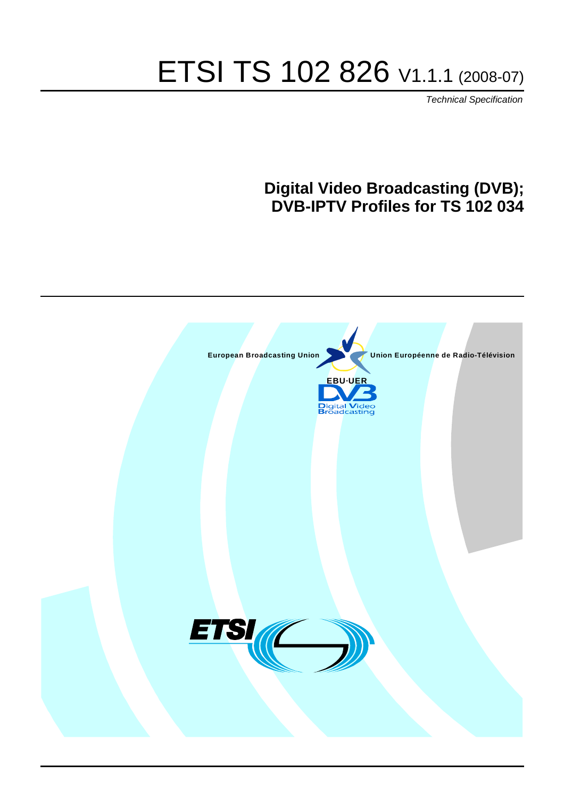# ETSI TS 102 826 V1.1.1 (2008-07)

*Technical Specification*

### **Digital Video Broadcasting (DVB); DVB-IPTV Profiles for TS 102 034**

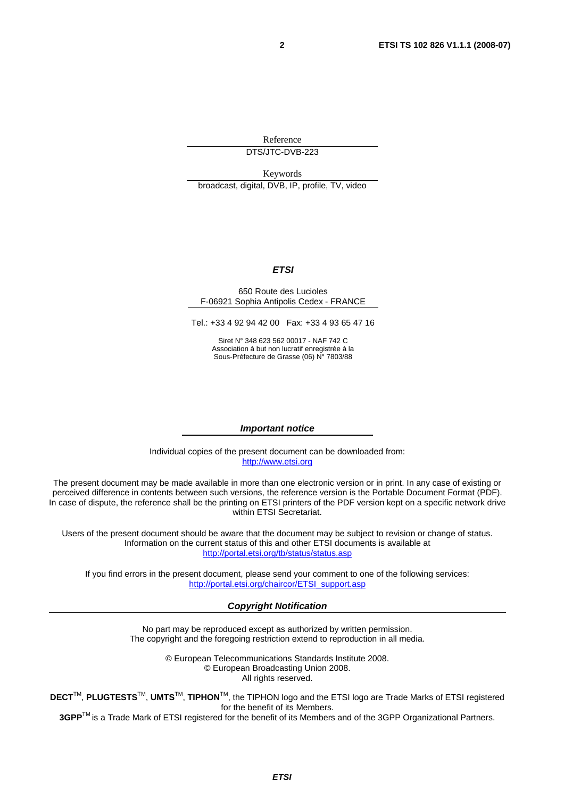Reference DTS/JTC-DVB-223

Keywords broadcast, digital, DVB, IP, profile, TV, video

#### *ETSI*

#### 650 Route des Lucioles F-06921 Sophia Antipolis Cedex - FRANCE

Tel.: +33 4 92 94 42 00 Fax: +33 4 93 65 47 16

Siret N° 348 623 562 00017 - NAF 742 C Association à but non lucratif enregistrée à la Sous-Préfecture de Grasse (06) N° 7803/88

#### *Important notice*

Individual copies of the present document can be downloaded from: [http://www.etsi.org](http://www.etsi.org/)

The present document may be made available in more than one electronic version or in print. In any case of existing or perceived difference in contents between such versions, the reference version is the Portable Document Format (PDF). In case of dispute, the reference shall be the printing on ETSI printers of the PDF version kept on a specific network drive within ETSI Secretariat.

Users of the present document should be aware that the document may be subject to revision or change of status. Information on the current status of this and other ETSI documents is available at <http://portal.etsi.org/tb/status/status.asp>

If you find errors in the present document, please send your comment to one of the following services: [http://portal.etsi.org/chaircor/ETSI\\_support.asp](http://portal.etsi.org/chaircor/ETSI_support.asp)

#### *Copyright Notification*

No part may be reproduced except as authorized by written permission. The copyright and the foregoing restriction extend to reproduction in all media.

> © European Telecommunications Standards Institute 2008. © European Broadcasting Union 2008. All rights reserved.

**DECT**TM, **PLUGTESTS**TM, **UMTS**TM, **TIPHON**TM, the TIPHON logo and the ETSI logo are Trade Marks of ETSI registered for the benefit of its Members.

**3GPP**TM is a Trade Mark of ETSI registered for the benefit of its Members and of the 3GPP Organizational Partners.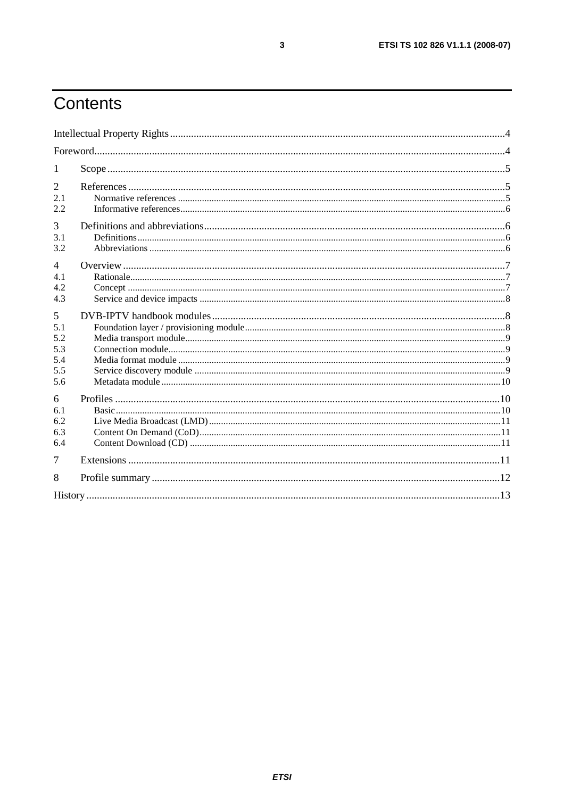# Contents

| 1                                           |  |
|---------------------------------------------|--|
| $\overline{2}$<br>2.1<br>2.2                |  |
| 3<br>3.1<br>3.2                             |  |
| $\overline{4}$<br>4.1<br>4.2<br>4.3         |  |
| 5<br>5.1<br>5.2<br>5.3<br>5.4<br>5.5<br>5.6 |  |
| 6<br>6.1<br>6.2<br>6.3<br>6.4               |  |
| 7                                           |  |
| 8                                           |  |
|                                             |  |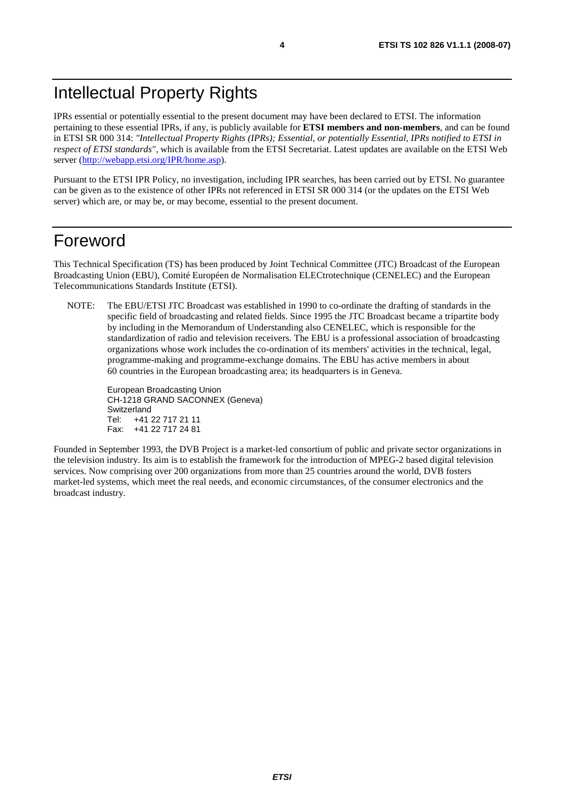IPRs essential or potentially essential to the present document may have been declared to ETSI. The information pertaining to these essential IPRs, if any, is publicly available for **ETSI members and non-members**, and can be found in ETSI SR 000 314: *"Intellectual Property Rights (IPRs); Essential, or potentially Essential, IPRs notified to ETSI in respect of ETSI standards"*, which is available from the ETSI Secretariat. Latest updates are available on the ETSI Web server ([http://webapp.etsi.org/IPR/home.asp\)](http://webapp.etsi.org/IPR/home.asp).

Pursuant to the ETSI IPR Policy, no investigation, including IPR searches, has been carried out by ETSI. No guarantee can be given as to the existence of other IPRs not referenced in ETSI SR 000 314 (or the updates on the ETSI Web server) which are, or may be, or may become, essential to the present document.

### Foreword

This Technical Specification (TS) has been produced by Joint Technical Committee (JTC) Broadcast of the European Broadcasting Union (EBU), Comité Européen de Normalisation ELECtrotechnique (CENELEC) and the European Telecommunications Standards Institute (ETSI).

NOTE: The EBU/ETSI JTC Broadcast was established in 1990 to co-ordinate the drafting of standards in the specific field of broadcasting and related fields. Since 1995 the JTC Broadcast became a tripartite body by including in the Memorandum of Understanding also CENELEC, which is responsible for the standardization of radio and television receivers. The EBU is a professional association of broadcasting organizations whose work includes the co-ordination of its members' activities in the technical, legal, programme-making and programme-exchange domains. The EBU has active members in about 60 countries in the European broadcasting area; its headquarters is in Geneva.

European Broadcasting Union CH-1218 GRAND SACONNEX (Geneva) Switzerland Tel: +41 22 717 21 11 Fax: +41 22 717 24 81

Founded in September 1993, the DVB Project is a market-led consortium of public and private sector organizations in the television industry. Its aim is to establish the framework for the introduction of MPEG-2 based digital television services. Now comprising over 200 organizations from more than 25 countries around the world, DVB fosters market-led systems, which meet the real needs, and economic circumstances, of the consumer electronics and the broadcast industry.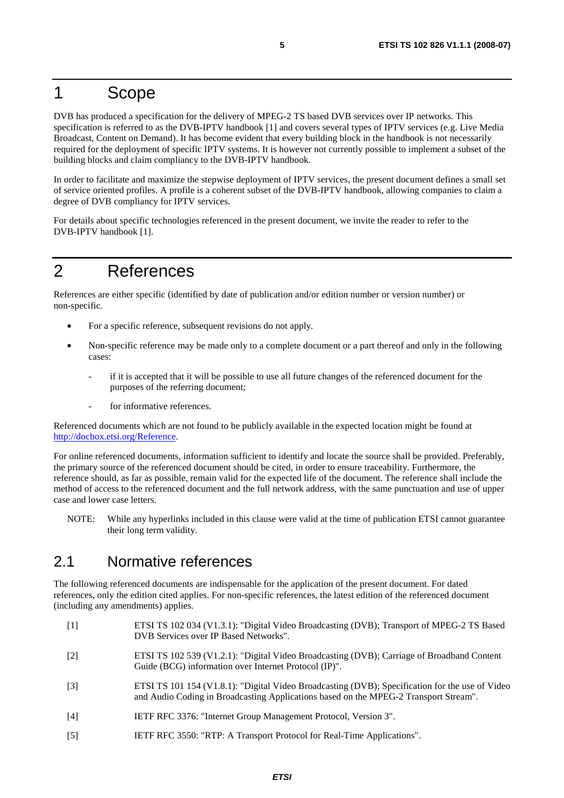### 1 Scope

DVB has produced a specification for the delivery of MPEG-2 TS based DVB services over IP networks. This specification is referred to as the DVB-IPTV handbook [1] and covers several types of IPTV services (e.g. Live Media Broadcast, Content on Demand). It has become evident that every building block in the handbook is not necessarily required for the deployment of specific IPTV systems. It is however not currently possible to implement a subset of the building blocks and claim compliancy to the DVB-IPTV handbook.

In order to facilitate and maximize the stepwise deployment of IPTV services, the present document defines a small set of service oriented profiles. A profile is a coherent subset of the DVB-IPTV handbook, allowing companies to claim a degree of DVB compliancy for IPTV services.

For details about specific technologies referenced in the present document, we invite the reader to refer to the DVB-IPTV handbook [1].

### 2 References

References are either specific (identified by date of publication and/or edition number or version number) or non-specific.

- For a specific reference, subsequent revisions do not apply.
- Non-specific reference may be made only to a complete document or a part thereof and only in the following cases:
	- if it is accepted that it will be possible to use all future changes of the referenced document for the purposes of the referring document;
	- for informative references.

Referenced documents which are not found to be publicly available in the expected location might be found at <http://docbox.etsi.org/Reference>.

For online referenced documents, information sufficient to identify and locate the source shall be provided. Preferably, the primary source of the referenced document should be cited, in order to ensure traceability. Furthermore, the reference should, as far as possible, remain valid for the expected life of the document. The reference shall include the method of access to the referenced document and the full network address, with the same punctuation and use of upper case and lower case letters.

NOTE: While any hyperlinks included in this clause were valid at the time of publication ETSI cannot guarantee their long term validity.

#### 2.1 Normative references

The following referenced documents are indispensable for the application of the present document. For dated references, only the edition cited applies. For non-specific references, the latest edition of the referenced document (including any amendments) applies.

- [1] ETSI TS 102 034 (V1.3.1): "Digital Video Broadcasting (DVB); Transport of MPEG-2 TS Based DVB Services over IP Based Networks".
- [2] ETSI TS 102 539 (V1.2.1): "Digital Video Broadcasting (DVB); Carriage of Broadband Content Guide (BCG) information over Internet Protocol (IP)".
- [3] ETSI TS 101 154 (V1.8.1): "Digital Video Broadcasting (DVB); Specification for the use of Video and Audio Coding in Broadcasting Applications based on the MPEG-2 Transport Stream".
- [4] IETF RFC 3376: "Internet Group Management Protocol, Version 3".
- [5] IETF RFC 3550: "RTP: A Transport Protocol for Real-Time Applications".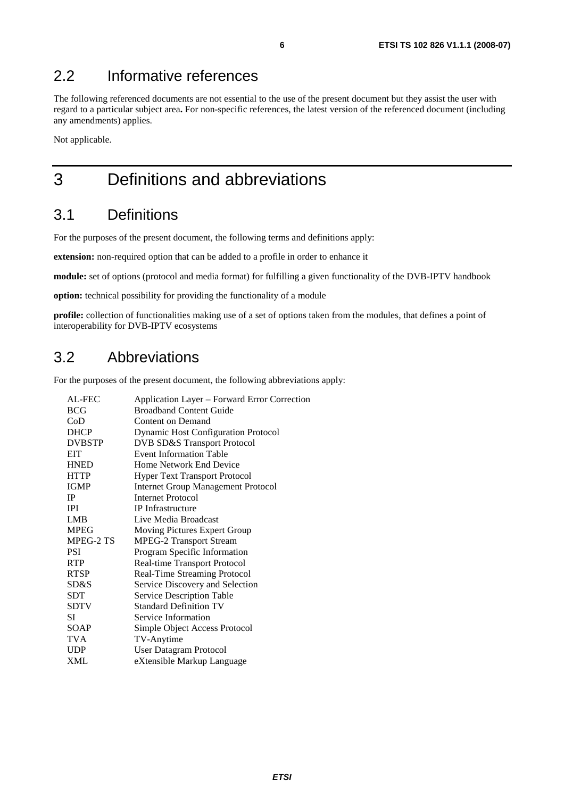#### 2.2 Informative references

The following referenced documents are not essential to the use of the present document but they assist the user with regard to a particular subject area**.** For non-specific references, the latest version of the referenced document (including any amendments) applies.

Not applicable.

# 3 Definitions and abbreviations

#### 3.1 Definitions

For the purposes of the present document, the following terms and definitions apply:

**extension:** non-required option that can be added to a profile in order to enhance it

**module:** set of options (protocol and media format) for fulfilling a given functionality of the DVB-IPTV handbook

**option:** technical possibility for providing the functionality of a module

**profile:** collection of functionalities making use of a set of options taken from the modules, that defines a point of interoperability for DVB-IPTV ecosystems

#### 3.2 Abbreviations

For the purposes of the present document, the following abbreviations apply:

| Application Layer – Forward Error Correction |
|----------------------------------------------|
| <b>Broadband Content Guide</b>               |
| Content on Demand                            |
| <b>Dynamic Host Configuration Protocol</b>   |
| <b>DVB SD&amp;S Transport Protocol</b>       |
| <b>Event Information Table</b>               |
| Home Network End Device                      |
| <b>Hyper Text Transport Protocol</b>         |
| <b>Internet Group Management Protocol</b>    |
| Internet Protocol                            |
| <b>IP</b> Infrastructure                     |
| Live Media Broadcast                         |
| Moving Pictures Expert Group                 |
| <b>MPEG-2 Transport Stream</b>               |
| Program Specific Information                 |
| Real-time Transport Protocol                 |
| Real-Time Streaming Protocol                 |
| Service Discovery and Selection              |
| Service Description Table                    |
| <b>Standard Definition TV</b>                |
| Service Information                          |
| Simple Object Access Protocol                |
| TV-Anytime                                   |
| <b>User Datagram Protocol</b>                |
| eXtensible Markup Language                   |
|                                              |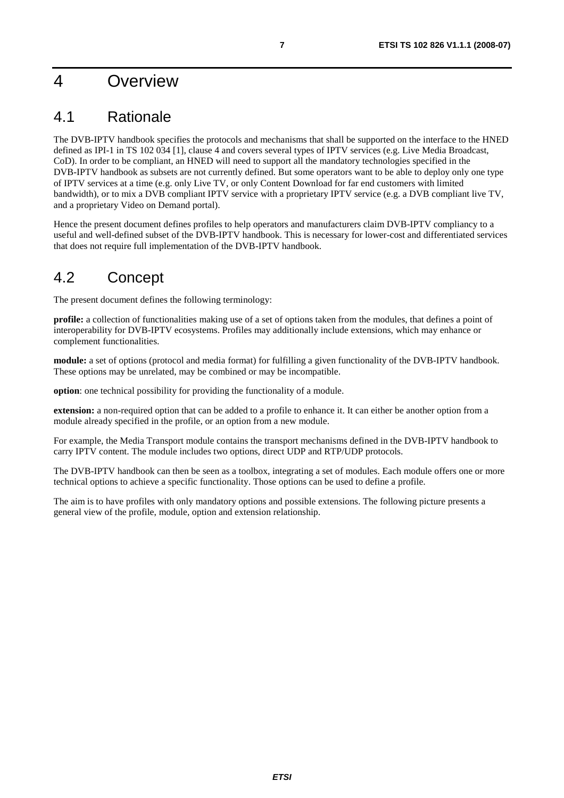### 4 Overview

### 4.1 Rationale

The DVB-IPTV handbook specifies the protocols and mechanisms that shall be supported on the interface to the HNED defined as IPI-1 in TS 102 034 [1], clause 4 and covers several types of IPTV services (e.g. Live Media Broadcast, CoD). In order to be compliant, an HNED will need to support all the mandatory technologies specified in the DVB-IPTV handbook as subsets are not currently defined. But some operators want to be able to deploy only one type of IPTV services at a time (e.g. only Live TV, or only Content Download for far end customers with limited bandwidth), or to mix a DVB compliant IPTV service with a proprietary IPTV service (e.g. a DVB compliant live TV, and a proprietary Video on Demand portal).

Hence the present document defines profiles to help operators and manufacturers claim DVB-IPTV compliancy to a useful and well-defined subset of the DVB-IPTV handbook. This is necessary for lower-cost and differentiated services that does not require full implementation of the DVB-IPTV handbook.

### 4.2 Concept

The present document defines the following terminology:

**profile:** a collection of functionalities making use of a set of options taken from the modules, that defines a point of interoperability for DVB-IPTV ecosystems. Profiles may additionally include extensions, which may enhance or complement functionalities.

**module:** a set of options (protocol and media format) for fulfilling a given functionality of the DVB-IPTV handbook. These options may be unrelated, may be combined or may be incompatible.

**option**: one technical possibility for providing the functionality of a module.

**extension:** a non-required option that can be added to a profile to enhance it. It can either be another option from a module already specified in the profile, or an option from a new module.

For example, the Media Transport module contains the transport mechanisms defined in the DVB-IPTV handbook to carry IPTV content. The module includes two options, direct UDP and RTP/UDP protocols.

The DVB-IPTV handbook can then be seen as a toolbox, integrating a set of modules. Each module offers one or more technical options to achieve a specific functionality. Those options can be used to define a profile.

The aim is to have profiles with only mandatory options and possible extensions. The following picture presents a general view of the profile, module, option and extension relationship.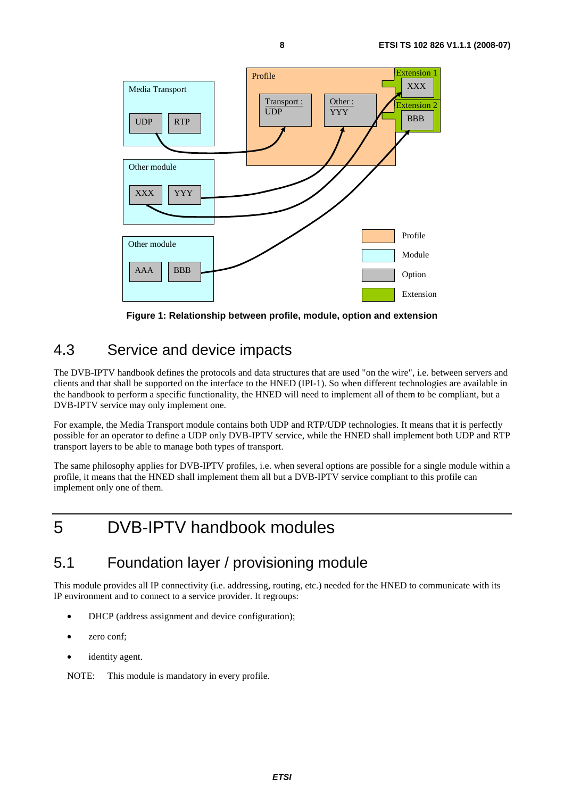

**Figure 1: Relationship between profile, module, option and extension** 

#### 4.3 Service and device impacts

The DVB-IPTV handbook defines the protocols and data structures that are used "on the wire", i.e. between servers and clients and that shall be supported on the interface to the HNED (IPI-1). So when different technologies are available in the handbook to perform a specific functionality, the HNED will need to implement all of them to be compliant, but a DVB-IPTV service may only implement one.

For example, the Media Transport module contains both UDP and RTP/UDP technologies. It means that it is perfectly possible for an operator to define a UDP only DVB-IPTV service, while the HNED shall implement both UDP and RTP transport layers to be able to manage both types of transport.

The same philosophy applies for DVB-IPTV profiles, i.e. when several options are possible for a single module within a profile, it means that the HNED shall implement them all but a DVB-IPTV service compliant to this profile can implement only one of them.

# 5 DVB-IPTV handbook modules

#### 5.1 Foundation layer / provisioning module

This module provides all IP connectivity (i.e. addressing, routing, etc.) needed for the HNED to communicate with its IP environment and to connect to a service provider. It regroups:

- DHCP (address assignment and device configuration);
- zero conf;
- identity agent.

NOTE: This module is mandatory in every profile.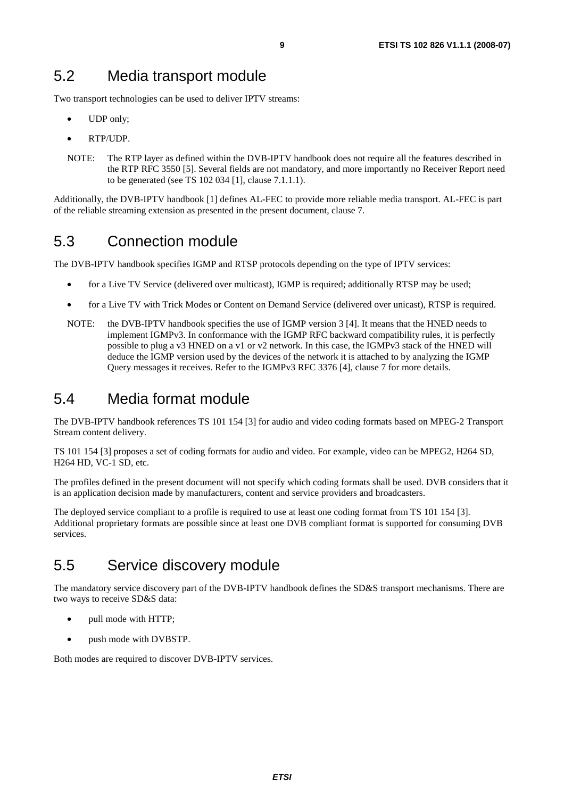Two transport technologies can be used to deliver IPTV streams:

- UDP only;
- RTP/UDP.
- NOTE: The RTP layer as defined within the DVB-IPTV handbook does not require all the features described in the RTP RFC 3550 [5]. Several fields are not mandatory, and more importantly no Receiver Report need to be generated (see TS 102 034 [1], clause 7.1.1.1).

Additionally, the DVB-IPTV handbook [1] defines AL-FEC to provide more reliable media transport. AL-FEC is part of the reliable streaming extension as presented in the present document, clause 7.

### 5.3 Connection module

The DVB-IPTV handbook specifies IGMP and RTSP protocols depending on the type of IPTV services:

- for a Live TV Service (delivered over multicast), IGMP is required; additionally RTSP may be used;
- for a Live TV with Trick Modes or Content on Demand Service (delivered over unicast), RTSP is required.
- NOTE: the DVB-IPTV handbook specifies the use of IGMP version 3 [4]. It means that the HNED needs to implement IGMPv3. In conformance with the IGMP RFC backward compatibility rules, it is perfectly possible to plug a v3 HNED on a v1 or v2 network. In this case, the IGMPv3 stack of the HNED will deduce the IGMP version used by the devices of the network it is attached to by analyzing the IGMP Query messages it receives. Refer to the IGMPv3 RFC 3376 [4], clause 7 for more details.

#### 5.4 Media format module

The DVB-IPTV handbook references TS 101 154 [3] for audio and video coding formats based on MPEG-2 Transport Stream content delivery.

TS 101 154 [3] proposes a set of coding formats for audio and video. For example, video can be MPEG2, H264 SD, H264 HD, VC-1 SD, etc.

The profiles defined in the present document will not specify which coding formats shall be used. DVB considers that it is an application decision made by manufacturers, content and service providers and broadcasters.

The deployed service compliant to a profile is required to use at least one coding format from TS 101 154 [3]. Additional proprietary formats are possible since at least one DVB compliant format is supported for consuming DVB services.

### 5.5 Service discovery module

The mandatory service discovery part of the DVB-IPTV handbook defines the SD&S transport mechanisms. There are two ways to receive SD&S data:

- pull mode with HTTP;
- push mode with DVBSTP.

Both modes are required to discover DVB-IPTV services.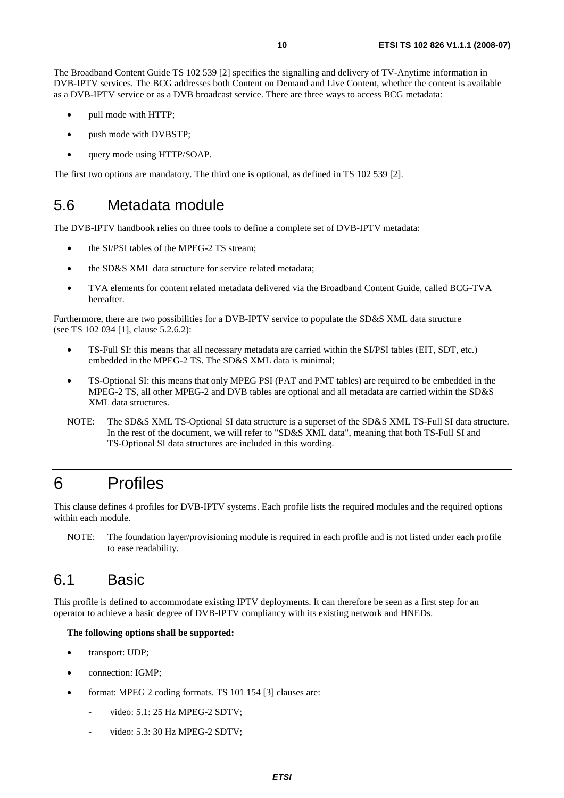The Broadband Content Guide TS 102 539 [2] specifies the signalling and delivery of TV-Anytime information in DVB-IPTV services. The BCG addresses both Content on Demand and Live Content, whether the content is available as a DVB-IPTV service or as a DVB broadcast service. There are three ways to access BCG metadata:

- pull mode with HTTP;
- push mode with DVBSTP;
- query mode using HTTP/SOAP.

The first two options are mandatory. The third one is optional, as defined in TS 102 539 [2].

#### 5.6 Metadata module

The DVB-IPTV handbook relies on three tools to define a complete set of DVB-IPTV metadata:

- the SI/PSI tables of the MPEG-2 TS stream;
- the SD&S XML data structure for service related metadata;
- TVA elements for content related metadata delivered via the Broadband Content Guide, called BCG-TVA hereafter.

Furthermore, there are two possibilities for a DVB-IPTV service to populate the SD&S XML data structure (see TS 102 034 [1], clause 5.2.6.2):

- TS-Full SI: this means that all necessary metadata are carried within the SI/PSI tables (EIT, SDT, etc.) embedded in the MPEG-2 TS. The SD&S XML data is minimal;
- TS-Optional SI: this means that only MPEG PSI (PAT and PMT tables) are required to be embedded in the MPEG-2 TS, all other MPEG-2 and DVB tables are optional and all metadata are carried within the SD&S XML data structures.
- NOTE: The SD&S XML TS-Optional SI data structure is a superset of the SD&S XML TS-Full SI data structure. In the rest of the document, we will refer to "SD&S XML data", meaning that both TS-Full SI and TS-Optional SI data structures are included in this wording.

# 6 Profiles

This clause defines 4 profiles for DVB-IPTV systems. Each profile lists the required modules and the required options within each module.

NOTE: The foundation layer/provisioning module is required in each profile and is not listed under each profile to ease readability.

#### 6.1 Basic

This profile is defined to accommodate existing IPTV deployments. It can therefore be seen as a first step for an operator to achieve a basic degree of DVB-IPTV compliancy with its existing network and HNEDs.

#### **The following options shall be supported:**

- transport: UDP;
- connection: IGMP;
- format: MPEG 2 coding formats. TS 101 154 [3] clauses are:
	- video: 5.1: 25 Hz MPEG-2 SDTV;
	- video: 5.3: 30 Hz MPEG-2 SDTV;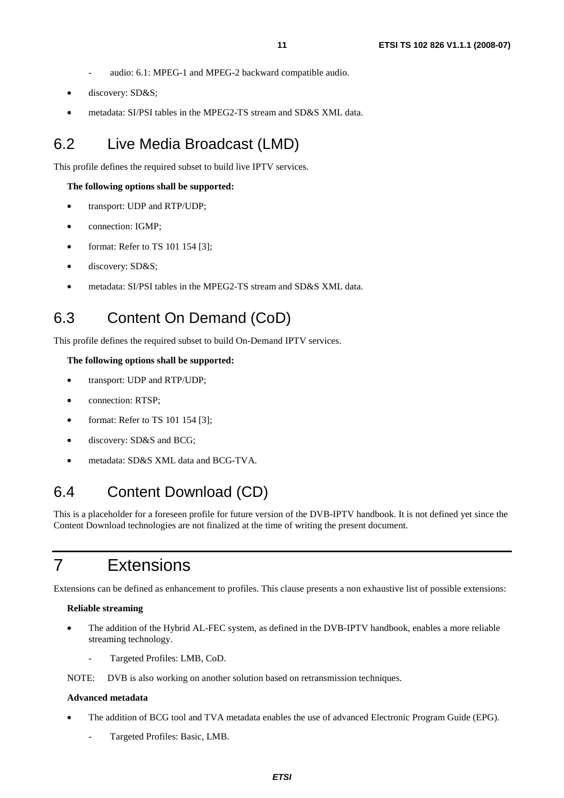- audio: 6.1: MPEG-1 and MPEG-2 backward compatible audio.
- discovery: SD&S;
- metadata: SI/PSI tables in the MPEG2-TS stream and SD&S XML data.

#### 6.2 Live Media Broadcast (LMD)

This profile defines the required subset to build live IPTV services.

#### **The following options shall be supported:**

- transport: UDP and RTP/UDP;
- connection: IGMP;
- format: Refer to TS 101 154 [3];
- discovery: SD&S;
- metadata: SI/PSI tables in the MPEG2-TS stream and SD&S XML data.

#### 6.3 Content On Demand (CoD)

This profile defines the required subset to build On-Demand IPTV services.

#### **The following options shall be supported:**

- transport: UDP and RTP/UDP:
- connection: RTSP;
- format: Refer to TS 101 154 [3];
- discovery: SD&S and BCG;
- metadata: SD&S XML data and BCG-TVA.

#### 6.4 Content Download (CD)

This is a placeholder for a foreseen profile for future version of the DVB-IPTV handbook. It is not defined yet since the Content Download technologies are not finalized at the time of writing the present document.

### 7 Extensions

Extensions can be defined as enhancement to profiles. This clause presents a non exhaustive list of possible extensions:

#### **Reliable streaming**

- The addition of the Hybrid AL-FEC system, as defined in the DVB-IPTV handbook, enables a more reliable streaming technology.
	- Targeted Profiles: LMB, CoD.

NOTE: DVB is also working on another solution based on retransmission techniques.

#### **Advanced metadata**

- The addition of BCG tool and TVA metadata enables the use of advanced Electronic Program Guide (EPG).
	- Targeted Profiles: Basic, LMB.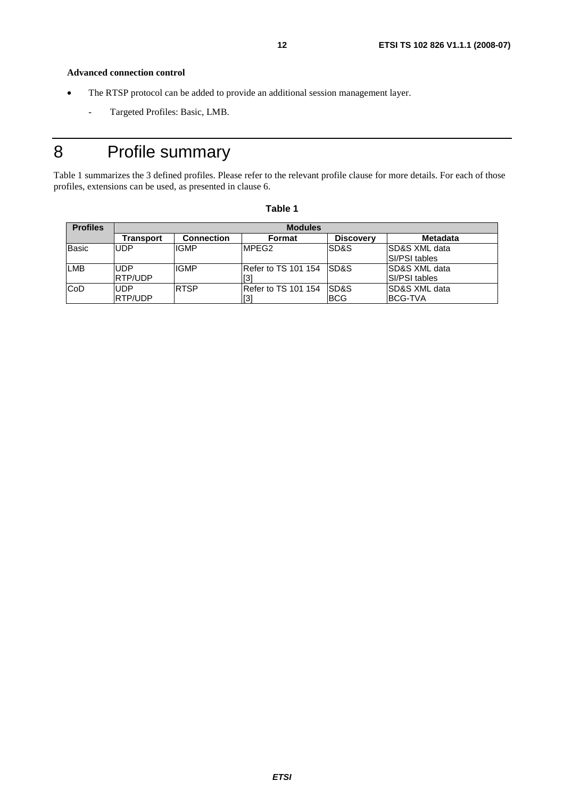**Advanced connection control** 

- The RTSP protocol can be added to provide an additional session management layer.
	- Targeted Profiles: Basic, LMB.

# 8 Profile summary

Table 1 summarizes the 3 defined profiles. Please refer to the relevant profile clause for more details. For each of those profiles, extensions can be used, as presented in clause 6.

| <b>Profiles</b> | <b>Modules</b> |                   |                           |                  |                           |  |
|-----------------|----------------|-------------------|---------------------------|------------------|---------------------------|--|
|                 | Transport      | <b>Connection</b> | Format                    | <b>Discovery</b> | <b>Metadata</b>           |  |
| <b>Basic</b>    | <b>UDP</b>     | <b>IGMP</b>       | MPFG2                     | SD&S             | <b>ISD&amp;S XML data</b> |  |
|                 |                |                   |                           |                  | <b>SI/PSI tables</b>      |  |
| <b>LMB</b>      | <b>UDP</b>     | <b>IGMP</b>       | Refer to TS 101 154 ISD&S |                  | ISD&S XML data            |  |
|                 | <b>RTP/UDP</b> |                   | ГЗ.                       |                  | <b>SI/PSI tables</b>      |  |
| <b>CoD</b>      | <b>UDP</b>     | <b>RTSP</b>       | IRefer to TS 101 154      | <b>SD&amp;S</b>  | ISD&S XML data            |  |
|                 | <b>RTP/UDP</b> |                   |                           | <b>BCG</b>       | <b>BCG-TVA</b>            |  |

#### **Table 1**